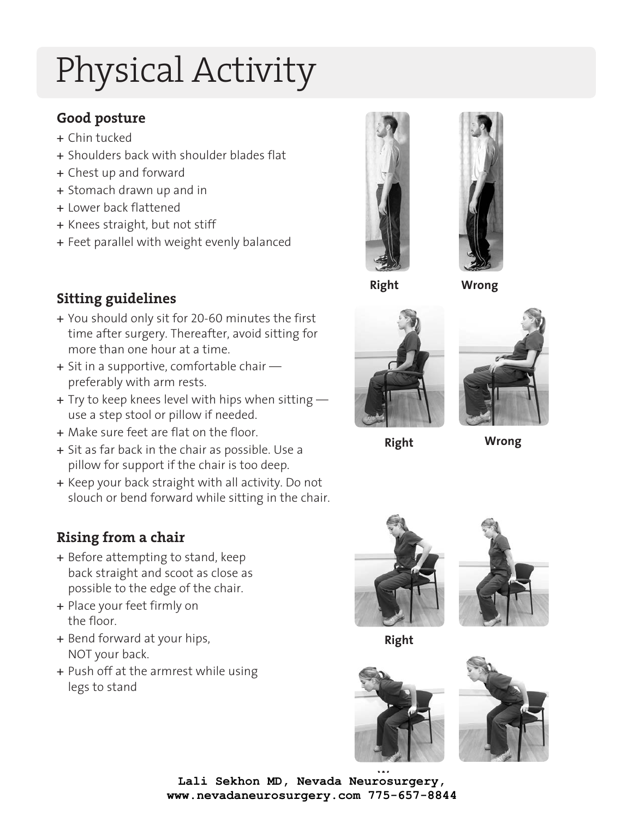# Physical Activity

# **Good posture**

- + Chin tucked
- + Shoulders back with shoulder blades flat
- + Chest up and forward
- + Stomach drawn up and in
- + Lower back flattened
- + Knees straight, but not stiff
- + Feet parallel with weight evenly balanced



**Right**

**Wrong**





**Right**

**Wrong**

# **Sitting guidelines**

- + You should only sit for 20-60 minutes the first time after surgery. Thereafter, avoid sitting for more than one hour at a time.
- + Sit in a supportive, comfortable chair preferably with arm rests.
- + Try to keep knees level with hips when sitting  $$ use a step stool or pillow if needed.
- + Make sure feet are flat on the floor.
- + Sit as far back in the chair as possible. Use a pillow for support if the chair is too deep.
- + Keep your back straight with all activity. Do not slouch or bend forward while sitting in the chair.

# **Rising from a chair**

- + Before attempting to stand, keep back straight and scoot as close as possible to the edge of the chair.
- + Place your feet firmly on the floor.
- + Bend forward at your hips, NOT your back.
- + Push off at the armrest while using legs to stand





**Right**





**Wrong Lali Sekhon MD, Nevada Neurosurgery, www.nevadaneurosurgery.com 775-657-8844**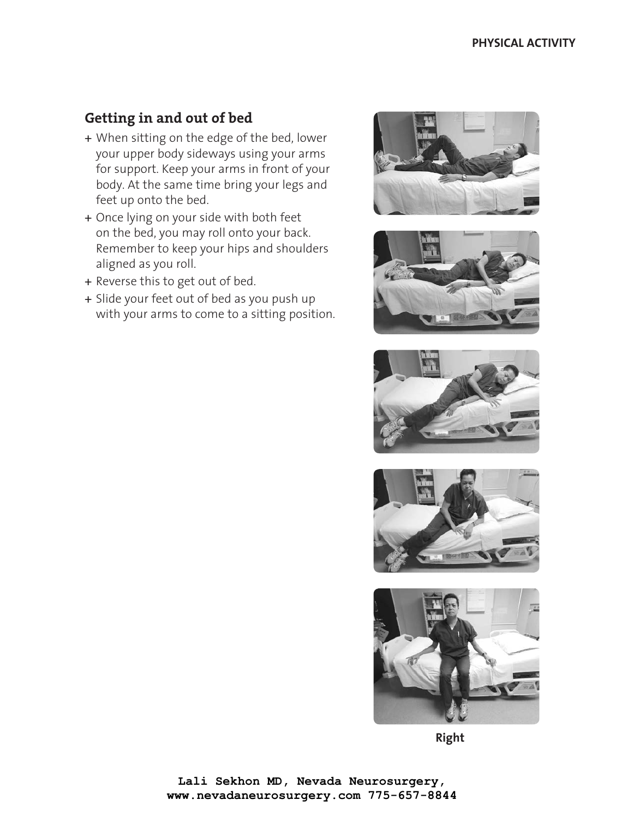# **Getting in and out of bed**

- + When sitting on the edge of the bed, lower your upper body sideways using your arms for support. Keep your arms in front of your body. At the same time bring your legs and feet up onto the bed.
- + Once lying on your side with both feet on the bed, you may roll onto your back. Remember to keep your hips and shoulders aligned as you roll.
- + Reverse this to get out of bed.
- + Slide your feet out of bed as you push up with your arms to come to a sitting position.











**Right**

**Lali Sekhon MD, Nevada Neurosurgery, www.nevadaneurosurgery.com 775-657-8844**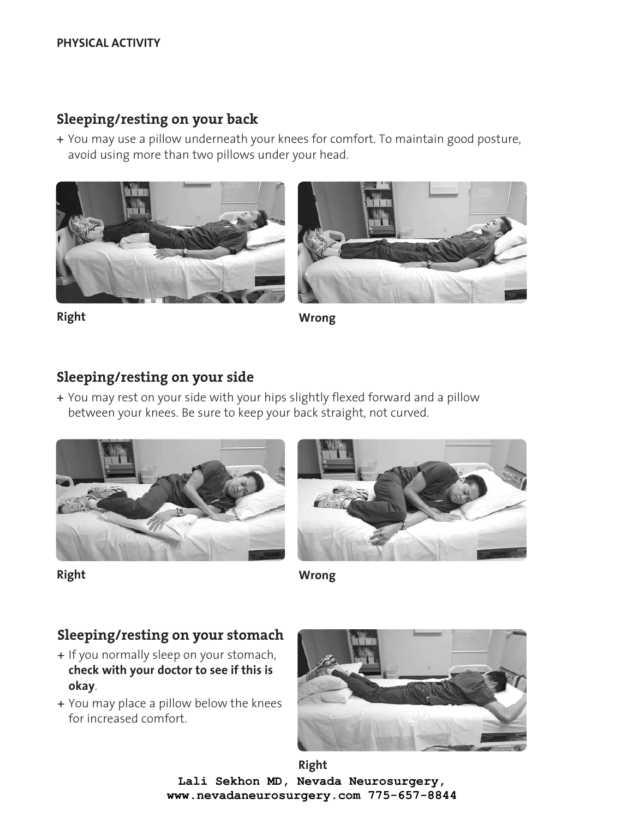#### **PHYSICAL ACTIVITY**

#### **Sleeping/resting on your back**

+ You may use a pillow underneath your knees for comfort. To maintain good posture, avoid using more than two pillows under your head.





**Right Wrong**

#### **Sleeping/resting on your side**

+ You may rest on your side with your hips slightly flexed forward and a pillow between your knees. Be sure to keep your back straight, not curved.



**Right**



**Wrong**

#### **Sleeping/resting on your stomach**

- + If you normally sleep on your stomach, **check with your doctor to see if this is okay**.
- + You may place a pillow below the knees for increased comfort.



**Right Lali Sekhon MD, Nevada Neurosurgery, www.nevadaneurosurgery.com 775-657-8844**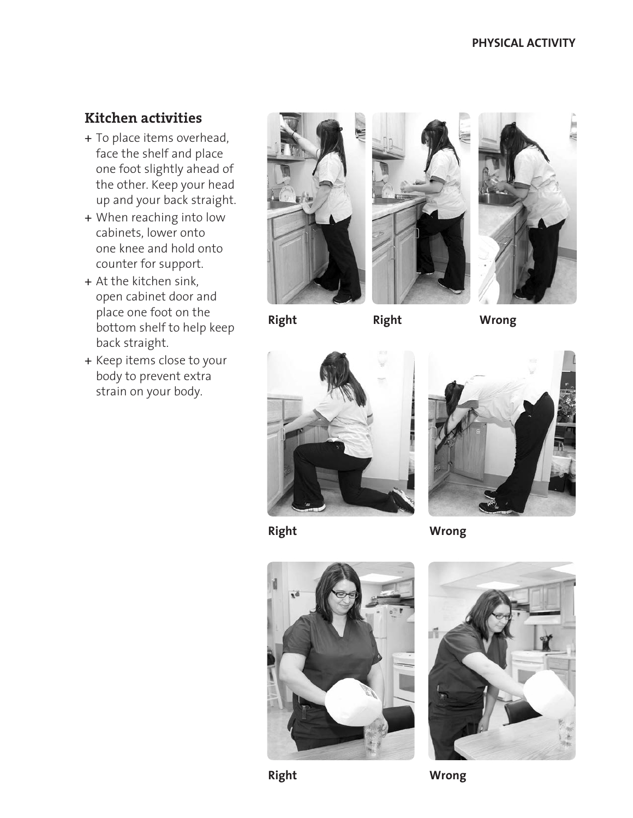# **Kitchen activities**

- + To place items overhead, face the shelf and place one foot slightly ahead of the other. Keep your head up and your back straight.
- + When reaching into low cabinets, lower onto one knee and hold onto counter for support.
- + At the kitchen sink, open cabinet door and place one foot on the bottom shelf to help keep back straight.
- + Keep items close to your body to prevent extra strain on your body.







**Right Right**

**Wrong**







**Wrong**





**Right**

**Wrong**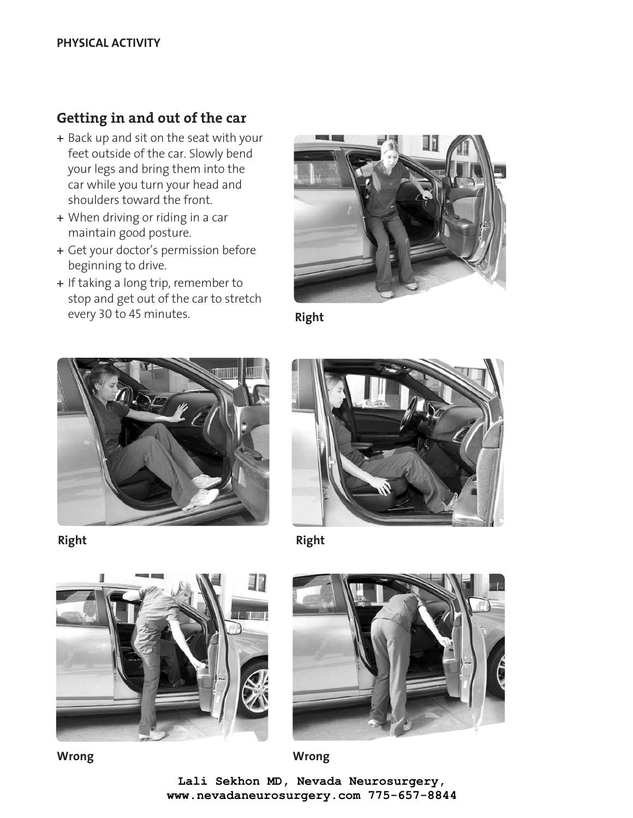### **Getting in and out of the car**

- + Back up and sit on the seat with your feet outside of the car. Slowly bend your legs and bring them into the car while you turn your head and shoulders toward the front.
- + When driving or riding in a car maintain good posture.
- + Get your doctor's permission before beginning to drive.
- + If taking a long trip, remember to stop and get out of the car to stretch every 30 to 45 minutes.



**Right**



**Right**



**Right**





**Wrong Wrong**

Lali Sekhon, MD, Sierra Neurosurgery Group 775-657-8844 **www.nevadaneurosurgery.com 775-657-8844Lali Sekhon MD, Nevada Neurosurgery,**